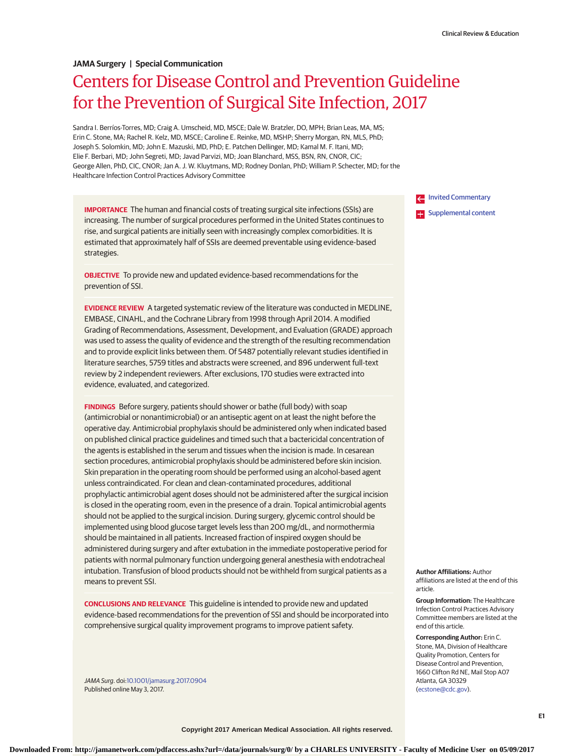# **JAMA Surgery | Special Communication**

# Centers for Disease Control and Prevention Guideline for the Prevention of Surgical Site Infection, 2017

Sandra I. Berríos-Torres, MD; Craig A. Umscheid, MD, MSCE; Dale W. Bratzler, DO, MPH; Brian Leas, MA, MS; Erin C. Stone, MA; Rachel R. Kelz, MD, MSCE; Caroline E. Reinke, MD, MSHP; Sherry Morgan, RN, MLS, PhD; Joseph S. Solomkin, MD; John E. Mazuski, MD, PhD; E. Patchen Dellinger, MD; Kamal M. F. Itani, MD; Elie F. Berbari, MD; John Segreti, MD; Javad Parvizi, MD; Joan Blanchard, MSS, BSN, RN, CNOR, CIC; George Allen, PhD, CIC, CNOR; Jan A. J. W. Kluytmans, MD; Rodney Donlan, PhD; William P. Schecter, MD; for the Healthcare Infection Control Practices Advisory Committee

**IMPORTANCE** The human and financial costs of treating surgical site infections (SSIs) are increasing. The number of surgical procedures performed in the United States continues to rise, and surgical patients are initially seen with increasingly complex comorbidities. It is estimated that approximately half of SSIs are deemed preventable using evidence-based strategies.

**OBJECTIVE** To provide new and updated evidence-based recommendations for the prevention of SSI.

**EVIDENCE REVIEW** A targeted systematic review of the literature was conducted in MEDLINE, EMBASE, CINAHL, and the Cochrane Library from 1998 through April 2014. A modified Grading of Recommendations, Assessment, Development, and Evaluation (GRADE) approach was used to assess the quality of evidence and the strength of the resulting recommendation and to provide explicit links between them. Of 5487 potentially relevant studies identified in literature searches, 5759 titles and abstracts were screened, and 896 underwent full-text review by 2 independent reviewers. After exclusions, 170 studies were extracted into evidence, evaluated, and categorized.

**FINDINGS** Before surgery, patients should shower or bathe (full body) with soap (antimicrobial or nonantimicrobial) or an antiseptic agent on at least the night before the operative day. Antimicrobial prophylaxis should be administered only when indicated based on published clinical practice guidelines and timed such that a bactericidal concentration of the agents is established in the serum and tissues when the incision is made. In cesarean section procedures, antimicrobial prophylaxis should be administered before skin incision. Skin preparation in the operating room should be performed using an alcohol-based agent unless contraindicated. For clean and clean-contaminated procedures, additional prophylactic antimicrobial agent doses should not be administered after the surgical incision is closed in the operating room, even in the presence of a drain. Topical antimicrobial agents should not be applied to the surgical incision. During surgery, glycemic control should be implemented using blood glucose target levels less than 200 mg/dL, and normothermia should be maintained in all patients. Increased fraction of inspired oxygen should be administered during surgery and after extubation in the immediate postoperative period for patients with normal pulmonary function undergoing general anesthesia with endotracheal intubation. Transfusion of blood products should not be withheld from surgical patients as a means to prevent SSI.

**CONCLUSIONS AND RELEVANCE** This guideline is intended to provide new and updated evidence-based recommendations for the prevention of SSI and should be incorporated into comprehensive surgical quality improvement programs to improve patient safety.

JAMA Surg. doi[:10.1001/jamasurg.2017.0904](http://jama.jamanetwork.com/article.aspx?doi=10.1001/jamasurg.2017.0904&utm_campaign=articlePDF%26utm_medium=articlePDFlink%26utm_source=articlePDF%26utm_content=jamasurg.2017.0904) Published online May 3, 2017.

[Invited Commentary](http://jama.jamanetwork.com/article.aspx?doi=10.1001/jamasurg.2017.0901&utm_campaign=articlePDF%26utm_medium=articlePDFlink%26utm_source=articlePDF%26utm_content=jamasurg.2017.0904) **Examplemental content** 

**Author Affiliations:** Author affiliations are listed at the end of this article.

**Group Information:** The Healthcare Infection Control Practices Advisory Committee members are listed at the end of this article.

**Corresponding Author:** Erin C. Stone, MA, Division of Healthcare Quality Promotion, Centers for Disease Control and Prevention, 1660 Clifton Rd NE, Mail Stop A07 Atlanta, GA 30329 [\(ecstone@cdc.gov\)](mailto:ecstone@cdc.gov).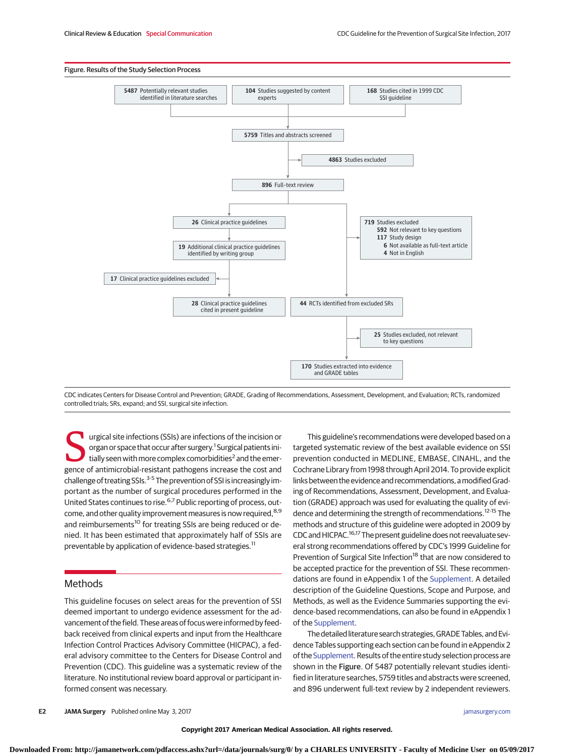

CDC indicates Centers for Disease Control and Prevention; GRADE, Grading of Recommendations, Assessment, Development, and Evaluation; RCTs, randomized controlled trials; SRs, expand; and SSI, surgical site infection.

urgical site infections (SSIs) are infections of the incision or organ or space that occur after surgery.<sup>1</sup> Surgical patients initially seen with more complex comorbidities<sup>2</sup> and the emergence of antimicrobial-resistant pathogens increase the cost and challenge of treating SSIs. $3-5$  The prevention of SSI is increasingly important as the number of surgical procedures performed in the United States continues to rise.<sup>6,7</sup> Public reporting of process, outcome, and other quality improvement measures is now required, 8,9 and reimbursements<sup>10</sup> for treating SSIs are being reduced or denied. It has been estimated that approximately half of SSIs are preventable by application of evidence-based strategies.<sup>11</sup>

# Methods

This guideline focuses on select areas for the prevention of SSI deemed important to undergo evidence assessment for the advancement of the field. These areas of focus were informed by feedback received from clinical experts and input from the Healthcare Infection Control Practices Advisory Committee (HICPAC), a federal advisory committee to the Centers for Disease Control and Prevention (CDC). This guideline was a systematic review of the literature. No institutional review board approval or participant informed consent was necessary.

This guideline's recommendations were developed based on a targeted systematic review of the best available evidence on SSI prevention conducted in MEDLINE, EMBASE, CINAHL, and the Cochrane Library from 1998 through April 2014. To provide explicit links between the evidence and recommendations, a modified Grading of Recommendations, Assessment, Development, and Evaluation (GRADE) approach was used for evaluating the quality of evidence and determining the strength of recommendations.<sup>12-15</sup> The methods and structure of this guideline were adopted in 2009 by CDC and HICPAC.<sup>16,17</sup> The present guideline does not reevaluate several strong recommendations offered by CDC's 1999 Guideline for Prevention of Surgical Site Infection<sup>18</sup> that are now considered to be accepted practice for the prevention of SSI. These recommendations are found in eAppendix 1 of the [Supplement.](http://jama.jamanetwork.com/article.aspx?doi=10.1001/jamasurg.2017.0904&utm_campaign=articlePDF%26utm_medium=articlePDFlink%26utm_source=articlePDF%26utm_content=jamasurg.2017.0904) A detailed description of the Guideline Questions, Scope and Purpose, and Methods, as well as the Evidence Summaries supporting the evidence-based recommendations, can also be found in eAppendix 1 of the [Supplement.](http://jama.jamanetwork.com/article.aspx?doi=10.1001/jamasurg.2017.0904&utm_campaign=articlePDF%26utm_medium=articlePDFlink%26utm_source=articlePDF%26utm_content=jamasurg.2017.0904)

The detailed literature search strategies,GRADE Tables, and Evidence Tables supporting each section can be found in eAppendix 2 of the [Supplement.](http://jama.jamanetwork.com/article.aspx?doi=10.1001/jamasurg.2017.0904&utm_campaign=articlePDF%26utm_medium=articlePDFlink%26utm_source=articlePDF%26utm_content=jamasurg.2017.0904) Results of the entire study selection process are shown in the Figure. Of 5487 potentially relevant studies identified in literature searches, 5759 titles and abstracts were screened, and 896 underwent full-text review by 2 independent reviewers.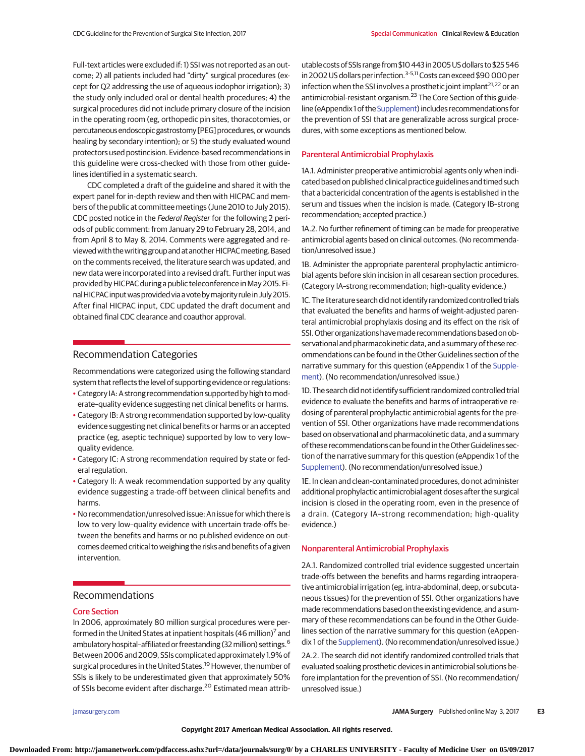Full-text articles were excluded if: 1) SSI was not reported as an outcome; 2) all patients included had "dirty" surgical procedures (except for Q2 addressing the use of aqueous iodophor irrigation); 3) the study only included oral or dental health procedures; 4) the surgical procedures did not include primary closure of the incision in the operating room (eg, orthopedic pin sites, thoracotomies, or percutaneousendoscopic gastrostomy [PEG] procedures, orwounds healing by secondary intention); or 5) the study evaluated wound protectors used postincision. Evidence-based recommendations in this guideline were cross-checked with those from other guidelines identified in a systematic search.

CDC completed a draft of the guideline and shared it with the expert panel for in-depth review and then with HICPAC and members of the public at committee meetings (June 2010 to July 2015). CDC posted notice in the Federal Register for the following 2 periods of public comment: from January 29 to February 28, 2014, and from April 8 to May 8, 2014. Comments were aggregated and reviewed with the writing group and at another HICPAC meeting. Based on the comments received, the literature search was updated, and new data were incorporated into a revised draft. Further input was provided by HICPAC during a public teleconference in May 2015. FinalHICPAC inputwas providedviaavote bymajority rule in July 2015. After final HICPAC input, CDC updated the draft document and obtained final CDC clearance and coauthor approval.

# Recommendation Categories

Recommendations were categorized using the following standard system that reflects the level of supporting evidence or regulations:

- Category IA: A strong recommendation supported by high tomoderate–quality evidence suggesting net clinical benefits or harms.
- Category IB: A strong recommendation supported by low-quality evidence suggesting net clinical benefits or harms or an accepted practice (eg, aseptic technique) supported by low to very low– quality evidence.
- Category IC: A strong recommendation required by state or federal regulation.
- Category II: A weak recommendation supported by any quality evidence suggesting a trade-off between clinical benefits and harms.
- No recommendation/unresolved issue: An issue for which there is low to very low–quality evidence with uncertain trade-offs between the benefits and harms or no published evidence on outcomes deemed critical to weighing the risks and benefits of a given intervention.

# Recommendations

#### Core Section

In 2006, approximately 80 million surgical procedures were performed in the United States at inpatient hospitals (46 million)<sup>7</sup> and ambulatory hospital-affiliated or freestanding (32 million) settings.<sup>6</sup> Between 2006 and 2009, SSIs complicated approximately 1.9% of surgical procedures in the United States.<sup>19</sup> However, the number of SSIs is likely to be underestimated given that approximately 50% of SSIs become evident after discharge.<sup>20</sup> Estimated mean attributable costs of SSIs range from \$10 443 in 2005 US dollars to \$25 546 in 2002 US dollars per infection.<sup>3-5,11</sup> Costs can exceed \$90 000 per infection when the SSI involves a prosthetic joint implant<sup>21,22</sup> or an antimicrobial-resistant organism.<sup>23</sup> The Core Section of this guideline (eAppendix 1 of the [Supplement\)](http://jama.jamanetwork.com/article.aspx?doi=10.1001/jamasurg.2017.0904&utm_campaign=articlePDF%26utm_medium=articlePDFlink%26utm_source=articlePDF%26utm_content=jamasurg.2017.0904) includes recommendations for the prevention of SSI that are generalizable across surgical procedures, with some exceptions as mentioned below.

### Parenteral Antimicrobial Prophylaxis

1A.1. Administer preoperative antimicrobial agents only when indicated based on published clinical practice guidelines and timed such that a bactericidal concentration of the agents is established in the serum and tissues when the incision is made. (Category IB–strong recommendation; accepted practice.)

1A.2. No further refinement of timing can be made for preoperative antimicrobial agents based on clinical outcomes. (No recommendation/unresolved issue.)

1B. Administer the appropriate parenteral prophylactic antimicrobial agents before skin incision in all cesarean section procedures. (Category IA–strong recommendation; high-quality evidence.)

1C. The literature search did not identify randomized controlled trials that evaluated the benefits and harms of weight-adjusted parenteral antimicrobial prophylaxis dosing and its effect on the risk of SSI.Other organizations havemade recommendations based on observational and pharmacokinetic data, and a summary of these recommendations can be found in the Other Guidelines section of the narrative summary for this question (eAppendix 1 of the [Supple](http://jama.jamanetwork.com/article.aspx?doi=10.1001/jamasurg.2017.0904&utm_campaign=articlePDF%26utm_medium=articlePDFlink%26utm_source=articlePDF%26utm_content=jamasurg.2017.0904)[ment\)](http://jama.jamanetwork.com/article.aspx?doi=10.1001/jamasurg.2017.0904&utm_campaign=articlePDF%26utm_medium=articlePDFlink%26utm_source=articlePDF%26utm_content=jamasurg.2017.0904). (No recommendation/unresolved issue.)

1D. The search did not identify sufficient randomized controlled trial evidence to evaluate the benefits and harms of intraoperative redosing of parenteral prophylactic antimicrobial agents for the prevention of SSI. Other organizations have made recommendations based on observational and pharmacokinetic data, and a summary of these recommendations can be found in the Other Guidelines section of the narrative summary for this question (eAppendix 1 of the [Supplement\)](http://jama.jamanetwork.com/article.aspx?doi=10.1001/jamasurg.2017.0904&utm_campaign=articlePDF%26utm_medium=articlePDFlink%26utm_source=articlePDF%26utm_content=jamasurg.2017.0904). (No recommendation/unresolved issue.)

1E. In clean and clean-contaminated procedures, do not administer additional prophylactic antimicrobial agent doses after the surgical incision is closed in the operating room, even in the presence of a drain. (Category IA–strong recommendation; high-quality evidence.)

#### Nonparenteral Antimicrobial Prophylaxis

2A.1. Randomized controlled trial evidence suggested uncertain trade-offs between the benefits and harms regarding intraoperative antimicrobial irrigation (eg, intra-abdominal, deep, or subcutaneous tissues) for the prevention of SSI. Other organizations have made recommendations based on the existing evidence, and a summary of these recommendations can be found in the Other Guidelines section of the narrative summary for this question (eAppendix 1 of the [Supplement\)](http://jama.jamanetwork.com/article.aspx?doi=10.1001/jamasurg.2017.0904&utm_campaign=articlePDF%26utm_medium=articlePDFlink%26utm_source=articlePDF%26utm_content=jamasurg.2017.0904). (No recommendation/unresolved issue.)

2A.2. The search did not identify randomized controlled trials that evaluated soaking prosthetic devices in antimicrobial solutions before implantation for the prevention of SSI. (No recommendation/ unresolved issue.)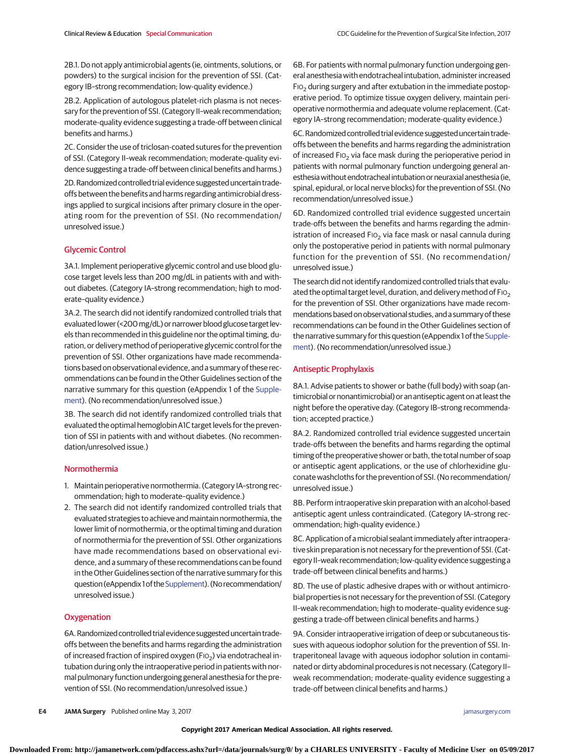2B.1. Do not apply antimicrobial agents (ie, ointments, solutions, or powders) to the surgical incision for the prevention of SSI. (Category IB–strong recommendation; low-quality evidence.)

2B.2. Application of autologous platelet-rich plasma is not necessary for the prevention of SSI. (Category II–weak recommendation; moderate-quality evidence suggesting a trade-off between clinical benefits and harms.)

2C. Consider the use of triclosan-coated sutures for the prevention of SSI. (Category II–weak recommendation; moderate-quality evidence suggesting a trade-off between clinical benefits and harms.)

2D. Randomized controlled trialevidence suggested uncertain tradeoffs between the benefits and harms regarding antimicrobial dressings applied to surgical incisions after primary closure in the operating room for the prevention of SSI. (No recommendation/ unresolved issue.)

### Glycemic Control

3A.1. Implement perioperative glycemic control and use blood glucose target levels less than 200 mg/dL in patients with and without diabetes. (Category IA–strong recommendation; high to moderate–quality evidence.)

3A.2. The search did not identify randomized controlled trials that evaluated lower (<200mg/dL) or narrower blood glucose target levels than recommended in this guideline nor the optimal timing, duration, or delivery method of perioperative glycemic control for the prevention of SSI. Other organizations have made recommendations based on observational evidence, and a summary of these recommendations can be found in the Other Guidelines section of the narrative summary for this question (eAppendix 1 of the [Supple](http://jama.jamanetwork.com/article.aspx?doi=10.1001/jamasurg.2017.0904&utm_campaign=articlePDF%26utm_medium=articlePDFlink%26utm_source=articlePDF%26utm_content=jamasurg.2017.0904)[ment\)](http://jama.jamanetwork.com/article.aspx?doi=10.1001/jamasurg.2017.0904&utm_campaign=articlePDF%26utm_medium=articlePDFlink%26utm_source=articlePDF%26utm_content=jamasurg.2017.0904). (No recommendation/unresolved issue.)

3B. The search did not identify randomized controlled trials that evaluated the optimal hemoglobin A1C target levels for the prevention of SSI in patients with and without diabetes. (No recommendation/unresolved issue.)

# Normothermia

- 1. Maintain perioperative normothermia. (Category IA–strong recommendation; high to moderate–quality evidence.)
- 2. The search did not identify randomized controlled trials that evaluated strategies to achieve and maintain normothermia, the lower limit of normothermia, or the optimal timing and duration of normothermia for the prevention of SSI. Other organizations have made recommendations based on observational evidence, and a summary of these recommendations can be found in the Other Guidelines section of the narrative summary for this question (eAppendix 1 of th[eSupplement\)](http://jama.jamanetwork.com/article.aspx?doi=10.1001/jamasurg.2017.0904&utm_campaign=articlePDF%26utm_medium=articlePDFlink%26utm_source=articlePDF%26utm_content=jamasurg.2017.0904). (No recommendation/ unresolved issue.)

#### **Oxygenation**

6A. Randomized controlled trialevidence suggested uncertain tradeoffs between the benefits and harms regarding the administration of increased fraction of inspired oxygen (FIO<sub>2</sub>) via endotracheal intubation during only the intraoperative period in patients with normal pulmonary function undergoing general anesthesia for the prevention of SSI. (No recommendation/unresolved issue.)

6B. For patients with normal pulmonary function undergoing general anesthesia with endotracheal intubation, administer increased  $F1O<sub>2</sub>$  during surgery and after extubation in the immediate postoperative period. To optimize tissue oxygen delivery, maintain perioperative normothermia and adequate volume replacement. (Category IA–strong recommendation; moderate-quality evidence.)

6C. Randomized controlled trialevidence suggested uncertain tradeoffs between the benefits and harms regarding the administration of increased FIO<sub>2</sub> via face mask during the perioperative period in patients with normal pulmonary function undergoing general anesthesia withoutendotracheal intubation or neuraxial anesthesia (ie, spinal, epidural, or local nerve blocks) for the prevention of SSI. (No recommendation/unresolved issue.)

6D. Randomized controlled trial evidence suggested uncertain trade-offs between the benefits and harms regarding the administration of increased FIO<sub>2</sub> via face mask or nasal cannula during only the postoperative period in patients with normal pulmonary function for the prevention of SSI. (No recommendation/ unresolved issue.)

The search did not identify randomized controlled trials that evaluated the optimal target level, duration, and delivery method of FIO<sub>2</sub> for the prevention of SSI. Other organizations have made recommendations based on observational studies, and a summary of these recommendations can be found in the Other Guidelines section of the narrative summary for this question (eAppendix 1 of the [Supple](http://jama.jamanetwork.com/article.aspx?doi=10.1001/jamasurg.2017.0904&utm_campaign=articlePDF%26utm_medium=articlePDFlink%26utm_source=articlePDF%26utm_content=jamasurg.2017.0904)[ment\)](http://jama.jamanetwork.com/article.aspx?doi=10.1001/jamasurg.2017.0904&utm_campaign=articlePDF%26utm_medium=articlePDFlink%26utm_source=articlePDF%26utm_content=jamasurg.2017.0904). (No recommendation/unresolved issue.)

### Antiseptic Prophylaxis

8A.1. Advise patients to shower or bathe (full body) with soap (antimicrobial or nonantimicrobial) or an antiseptic agent on at least the night before the operative day. (Category IB–strong recommendation; accepted practice.)

8A.2. Randomized controlled trial evidence suggested uncertain trade-offs between the benefits and harms regarding the optimal timing of the preoperative shower or bath, the total number of soap or antiseptic agent applications, or the use of chlorhexidine gluconate washcloths for the prevention of SSI. (No recommendation/ unresolved issue.)

8B. Perform intraoperative skin preparation with an alcohol-based antiseptic agent unless contraindicated. (Category IA–strong recommendation; high-quality evidence.)

8C. Application of a microbial sealant immediately after intraoperative skin preparation is not necessary for the prevention of SSI. (Category II–weak recommendation; low-quality evidence suggesting a trade-off between clinical benefits and harms.)

8D. The use of plastic adhesive drapes with or without antimicrobial properties is not necessary for the prevention of SSI. (Category II–weak recommendation; high to moderate–quality evidence suggesting a trade-off between clinical benefits and harms.)

9A. Consider intraoperative irrigation of deep or subcutaneous tissues with aqueous iodophor solution for the prevention of SSI. Intraperitoneal lavage with aqueous iodophor solution in contaminated or dirty abdominal procedures is not necessary. (Category II– weak recommendation; moderate-quality evidence suggesting a trade-off between clinical benefits and harms.)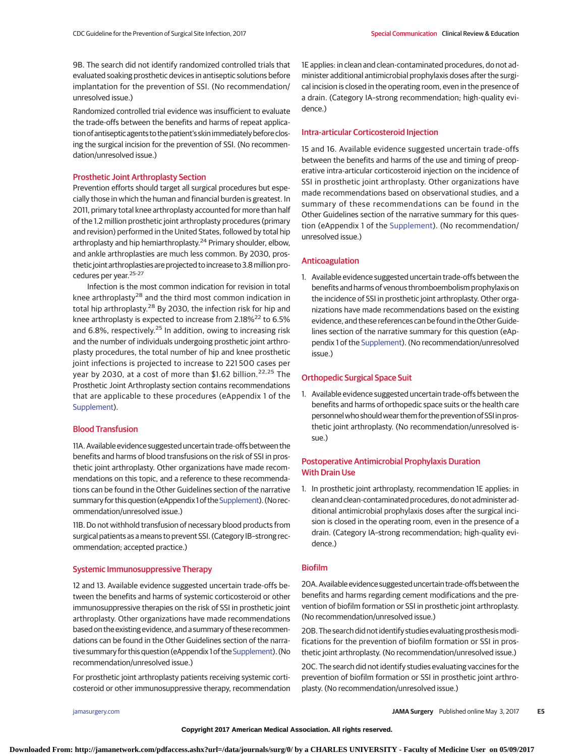9B. The search did not identify randomized controlled trials that evaluated soaking prosthetic devices in antiseptic solutions before implantation for the prevention of SSI. (No recommendation/ unresolved issue.)

Randomized controlled trial evidence was insufficient to evaluate the trade-offs between the benefits and harms of repeat application of antiseptic agents to the patient's skin immediately before closing the surgical incision for the prevention of SSI. (No recommendation/unresolved issue.)

# Prosthetic Joint Arthroplasty Section

Prevention efforts should target all surgical procedures but especially those in which the human and financial burden is greatest. In 2011, primary total knee arthroplasty accounted for more than half of the 1.2 million prosthetic joint arthroplasty procedures (primary and revision) performed in the United States, followed by total hip arthroplasty and hip hemiarthroplasty.<sup>24</sup> Primary shoulder, elbow, and ankle arthroplasties are much less common. By 2030, prosthetic joint arthroplasties are projected to increase to 3.8million procedures per year.<sup>25-27</sup>

Infection is the most common indication for revision in total knee arthroplasty<sup>28</sup> and the third most common indication in total hip arthroplasty.<sup>28</sup> By 2030, the infection risk for hip and knee arthroplasty is expected to increase from 2.18%<sup>22</sup> to 6.5% and 6.8%, respectively.<sup>25</sup> In addition, owing to increasing risk and the number of individuals undergoing prosthetic joint arthroplasty procedures, the total number of hip and knee prosthetic joint infections is projected to increase to 221 500 cases per year by 2030, at a cost of more than \$1.62 billion.<sup>22,25</sup> The Prosthetic Joint Arthroplasty section contains recommendations that are applicable to these procedures (eAppendix 1 of the [Supplement\)](http://jama.jamanetwork.com/article.aspx?doi=10.1001/jamasurg.2017.0904&utm_campaign=articlePDF%26utm_medium=articlePDFlink%26utm_source=articlePDF%26utm_content=jamasurg.2017.0904).

## Blood Transfusion

11A. Available evidence suggested uncertain trade-offs between the benefits and harms of blood transfusions on the risk of SSI in prosthetic joint arthroplasty. Other organizations have made recommendations on this topic, and a reference to these recommendations can be found in the Other Guidelines section of the narrative summary for this question (eAppendix 1 of the [Supplement\)](http://jama.jamanetwork.com/article.aspx?doi=10.1001/jamasurg.2017.0904&utm_campaign=articlePDF%26utm_medium=articlePDFlink%26utm_source=articlePDF%26utm_content=jamasurg.2017.0904). (No recommendation/unresolved issue.)

11B. Do not withhold transfusion of necessary blood products from surgical patients as a means to prevent SSI. (Category IB–strong recommendation; accepted practice.)

#### Systemic Immunosuppressive Therapy

12 and 13. Available evidence suggested uncertain trade-offs between the benefits and harms of systemic corticosteroid or other immunosuppressive therapies on the risk of SSI in prosthetic joint arthroplasty. Other organizations have made recommendations based on the existing evidence, and a summary of these recommendations can be found in the Other Guidelines section of the narra-tive summary for this question (eAppendix 1 of the [Supplement\)](http://jama.jamanetwork.com/article.aspx?doi=10.1001/jamasurg.2017.0904&utm_campaign=articlePDF%26utm_medium=articlePDFlink%26utm_source=articlePDF%26utm_content=jamasurg.2017.0904). (No recommendation/unresolved issue.)

For prosthetic joint arthroplasty patients receiving systemic corticosteroid or other immunosuppressive therapy, recommendation

1E applies: in clean and clean-contaminated procedures, do not administer additional antimicrobial prophylaxis doses after the surgical incision is closed in the operating room, even in the presence of a drain. (Category IA–strong recommendation; high-quality evidence.)

#### Intra-articular Corticosteroid Injection

15 and 16. Available evidence suggested uncertain trade-offs between the benefits and harms of the use and timing of preoperative intra-articular corticosteroid injection on the incidence of SSI in prosthetic joint arthroplasty. Other organizations have made recommendations based on observational studies, and a summary of these recommendations can be found in the Other Guidelines section of the narrative summary for this question (eAppendix 1 of the [Supplement\)](http://jama.jamanetwork.com/article.aspx?doi=10.1001/jamasurg.2017.0904&utm_campaign=articlePDF%26utm_medium=articlePDFlink%26utm_source=articlePDF%26utm_content=jamasurg.2017.0904). (No recommendation/ unresolved issue.)

#### Anticoagulation

1. Available evidence suggested uncertain trade-offs between the benefits and harms of venous thromboembolism prophylaxis on the incidence of SSI in prosthetic joint arthroplasty. Other organizations have made recommendations based on the existing evidence, and these references can be found in the Other Guidelines section of the narrative summary for this question (eAppendix 1 of the [Supplement\)](http://jama.jamanetwork.com/article.aspx?doi=10.1001/jamasurg.2017.0904&utm_campaign=articlePDF%26utm_medium=articlePDFlink%26utm_source=articlePDF%26utm_content=jamasurg.2017.0904). (No recommendation/unresolved issue.)

# Orthopedic Surgical Space Suit

1. Available evidence suggested uncertain trade-offs between the benefits and harms of orthopedic space suits or the health care personnel who should wear them for the prevention of SSI in prosthetic joint arthroplasty. (No recommendation/unresolved issue.)

# Postoperative Antimicrobial Prophylaxis Duration With Drain Use

1. In prosthetic joint arthroplasty, recommendation 1E applies: in clean and clean-contaminated procedures, do not administer additional antimicrobial prophylaxis doses after the surgical incision is closed in the operating room, even in the presence of a drain. (Category IA–strong recommendation; high-quality evidence.)

# Biofilm

20A. Available evidence suggested uncertain trade-offs between the benefits and harms regarding cement modifications and the prevention of biofilm formation or SSI in prosthetic joint arthroplasty. (No recommendation/unresolved issue.)

20B. The search did not identify studies evaluating prosthesis modifications for the prevention of biofilm formation or SSI in prosthetic joint arthroplasty. (No recommendation/unresolved issue.)

20C. The search did not identify studies evaluating vaccines for the prevention of biofilm formation or SSI in prosthetic joint arthroplasty. (No recommendation/unresolved issue.)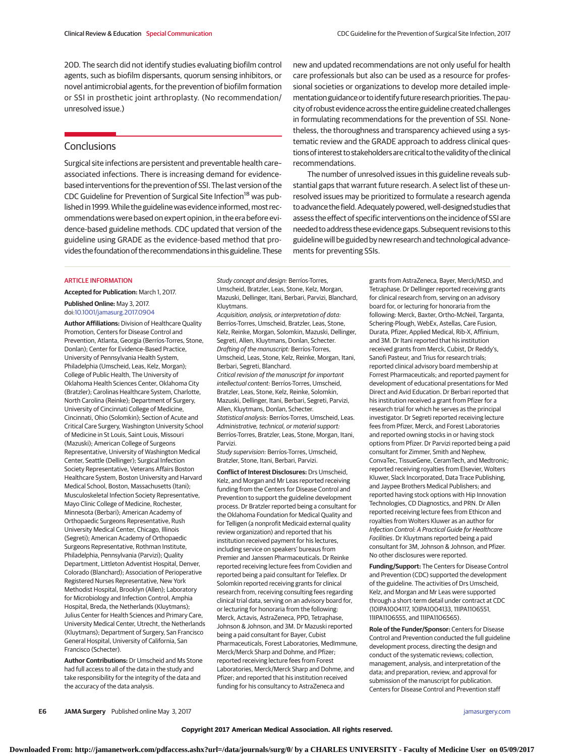20D. The search did not identify studies evaluating biofilm control agents, such as biofilm dispersants, quorum sensing inhibitors, or novel antimicrobial agents, for the prevention of biofilm formation or SSI in prosthetic joint arthroplasty. (No recommendation/ unresolved issue.)

# **Conclusions**

Surgical site infections are persistent and preventable health care– associated infections. There is increasing demand for evidencebased interventions for the prevention of SSI. The last version of the CDC Guideline for Prevention of Surgical Site Infection<sup>18</sup> was published in 1999. While the guideline was evidence informed, most recommendations were based on expert opinion, in the era before evidence-based guideline methods. CDC updated that version of the guideline using GRADE as the evidence-based method that provides the foundation of the recommendations in this guideline. These new and updated recommendations are not only useful for health care professionals but also can be used as a resource for professional societies or organizations to develop more detailed implementation guidance or to identify future research priorities. The paucity of robust evidence across the entire guideline created challenges in formulating recommendations for the prevention of SSI. Nonetheless, the thoroughness and transparency achieved using a systematic review and the GRADE approach to address clinical questions of interest to stakeholders are critical to the validity of the clinical recommendations.

The number of unresolved issues in this guideline reveals substantial gaps that warrant future research. A select list of these unresolved issues may be prioritized to formulate a research agenda to advance the field. Adequately powered, well-designed studies that assess the effect of specific interventions on the incidence of SSI are needed to address these evidence gaps. Subsequent revisions to this guideline will be guided by new research and technological advancements for preventing SSIs.

#### ARTICLE INFORMATION

**Accepted for Publication:** March 1, 2017. **Published Online:** May 3, 2017.

doi[:10.1001/jamasurg.2017.0904](http://jama.jamanetwork.com/article.aspx?doi=10.1001/jamasurg.2017.0904&utm_campaign=articlePDF%26utm_medium=articlePDFlink%26utm_source=articlePDF%26utm_content=jamasurg.2017.0904)

**Author Affiliations:** Division of Healthcare Quality Promotion, Centers for Disease Control and Prevention, Atlanta, Georgia (Berríos-Torres, Stone, Donlan); Center for Evidence-Based Practice, University of Pennsylvania Health System, Philadelphia (Umscheid, Leas, Kelz, Morgan); College of Public Health, The University of Oklahoma Health Sciences Center, Oklahoma City (Bratzler); Carolinas Healthcare System, Charlotte, North Carolina (Reinke); Department of Surgery, University of Cincinnati College of Medicine, Cincinnati, Ohio (Solomkin); Section of Acute and Critical Care Surgery, Washington University School of Medicine in St Louis, Saint Louis, Missouri (Mazuski); American College of Surgeons Representative, University of Washington Medical Center, Seattle (Dellinger); Surgical Infection Society Representative, Veterans Affairs Boston Healthcare System, Boston University and Harvard Medical School, Boston, Massachusetts (Itani); Musculoskeletal Infection Society Representative, Mayo Clinic College of Medicine, Rochester, Minnesota (Berbari); American Academy of Orthopaedic Surgeons Representative, Rush University Medical Center, Chicago, Illinois (Segreti); American Academy of Orthopaedic Surgeons Representative, Rothman Institute, Philadelphia, Pennsylvania (Parvizi); Quality Department, Littleton Adventist Hospital, Denver, Colorado (Blanchard); Association of Perioperative Registered Nurses Representative, New York Methodist Hospital, Brooklyn (Allen); Laboratory for Microbiology and Infection Control, Amphia Hospital, Breda, the Netherlands (Kluytmans); Julius Center for Health Sciences and Primary Care, University Medical Center, Utrecht, the Netherlands (Kluytmans); Department of Surgery, San Francisco General Hospital, University of California, San Francisco (Schecter).

**Author Contributions:** Dr Umscheid and Ms Stone had full access to all of the data in the study and take responsibility for the integrity of the data and the accuracy of the data analysis.

Study concept and design: Berríos-Torres, Umscheid, Bratzler, Leas, Stone, Kelz, Morgan, Mazuski, Dellinger, Itani, Berbari, Parvizi, Blanchard, Kluytmans.

Acquisition, analysis, or interpretation of data: Berríos-Torres, Umscheid, Bratzler, Leas, Stone, Kelz, Reinke, Morgan, Solomkin, Mazuski, Dellinger, Segreti, Allen, Kluytmans, Donlan, Schecter. Drafting of the manuscript: Berríos-Torres, Umscheid, Leas, Stone, Kelz, Reinke, Morgan, Itani, Berbari, Segreti, Blanchard. Critical revision of the manuscript for important intellectual content: Berríos-Torres, Umscheid, Bratzler, Leas, Stone, Kelz, Reinke, Solomkin,

Mazuski, Dellinger, Itani, Berbari, Segreti, Parvizi, Allen, Kluytmans, Donlan, Schecter. Statistical analysis: Berríos-Torres, Umscheid, Leas. Administrative, technical, or material support: Berríos-Torres, Bratzler, Leas, Stone, Morgan, Itani, Parvizi.

Study supervision: Berríos-Torres, Umscheid, Bratzler, Stone, Itani, Berbari, Parvizi.

**Conflict of Interest Disclosures:** Drs Umscheid, Kelz, and Morgan and Mr Leas reported receiving funding from the Centers for Disease Control and Prevention to support the guideline development process. Dr Bratzler reported being a consultant for the Oklahoma Foundation for Medical Quality and for Telligen (a nonprofit Medicaid external quality review organization) and reported that his institution received payment for his lectures, including service on speakers' bureaus from Premier and Janssen Pharmaceuticals. Dr Reinke reported receiving lecture fees from Covidien and reported being a paid consultant for Teleflex. Dr Solomkin reported receiving grants for clinical research from, receiving consulting fees regarding clinical trial data, serving on an advisory board for, or lecturing for honoraria from the following: Merck, Actavis, AstraZeneca, PPD, Tetraphase, Johnson & Johnson, and 3M. Dr Mazuski reported being a paid consultant for Bayer, Cubist Pharmaceuticals, Forest Laboratories, MedImmune, Merck/Merck Sharp and Dohme, and Pfizer; reported receiving lecture fees from Forest Laboratories, Merck/Merck Sharp and Dohme, and Pfizer; and reported that his institution received funding for his consultancy to AstraZeneca and

grants from AstraZeneca, Bayer, Merck/MSD, and Tetraphase. Dr Dellinger reported receiving grants for clinical research from, serving on an advisory board for, or lecturing for honoraria from the following: Merck, Baxter, Ortho-McNeil, Targanta, Schering-Plough, WebEx, Astellas, Care Fusion, Durata, Pfizer, Applied Medical, Rib-X, Affinium, and 3M. Dr Itani reported that his institution received grants from Merck, Cubist, Dr Reddy's, Sanofi Pasteur, and Trius for research trials; reported clinical advisory board membership at Forrest Pharmaceuticals; and reported payment for development of educational presentations for Med Direct and Avid Education. Dr Berbari reported that his institution received a grant from Pfizer for a research trial for which he serves as the principal investigator. Dr Segreti reported receiving lecture fees from Pfizer, Merck, and Forest Laboratories and reported owning stocks in or having stock options from Pfizer. Dr Parvizi reported being a paid consultant for Zimmer, Smith and Nephew, ConvaTec, TissueGene, CeramTech, and Medtronic; reported receiving royalties from Elsevier, Wolters Kluwer, Slack Incorporated, Data Trace Publishing, and Jaypee Brothers Medical Publishers; and reported having stock options with Hip Innovation Technologies, CD Diagnostics, and PRN. Dr Allen reported receiving lecture fees from Ethicon and royalties from Wolters Kluwer as an author for Infection Control: A Practical Guide for Healthcare Facilities. Dr Kluytmans reported being a paid consultant for 3M, Johnson & Johnson, and Pfizer. No other disclosures were reported.

**Funding/Support:** The Centers for Disease Control and Prevention (CDC) supported the development of the guideline. The activities of Drs Umscheid, Kelz, and Morgan and Mr Leas were supported through a short-term detail under contract at CDC (10IPA1004117, 10IPA1004133, 11IPA1106551, 11IPA1106555, and 11IPA1106565).

**Role of the Funder/Sponsor:** Centers for Disease Control and Prevention conducted the full guideline development process, directing the design and conduct of the systematic reviews; collection, management, analysis, and interpretation of the data; and preparation, review, and approval for submission of the manuscript for publication. Centers for Disease Control and Prevention staff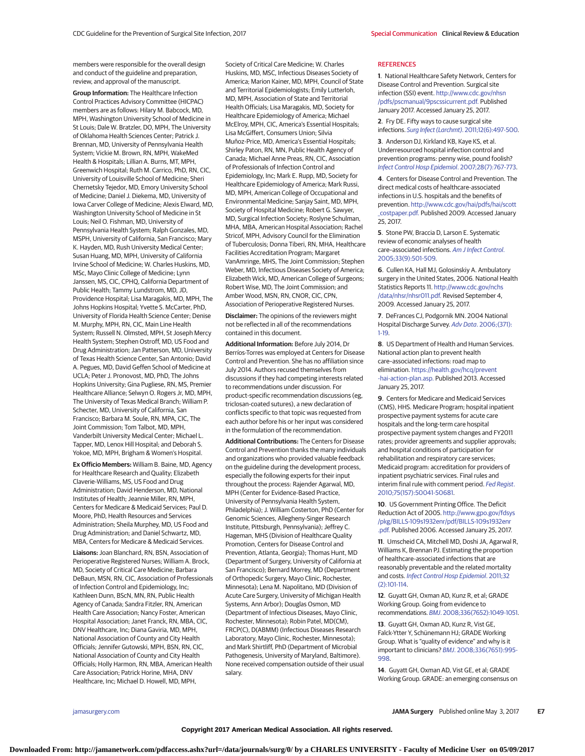members were responsible for the overall design and conduct of the guideline and preparation, review, and approval of the manuscript.

**Group Information:** The Healthcare Infection Control Practices Advisory Committee (HICPAC) members are as follows: Hilary M. Babcock, MD, MPH, Washington University School of Medicine in St Louis; Dale W. Bratzler, DO, MPH, The University of Oklahoma Health Sciences Center; Patrick J. Brennan, MD, University of Pennsylvania Health System; Vickie M. Brown, RN, MPH, WakeMed Health & Hospitals; Lillian A. Burns, MT, MPH, Greenwich Hospital; Ruth M. Carrico, PhD, RN, CIC, University of Louisville School of Medicine; Sheri Chernetsky Tejedor, MD, Emory University School of Medicine; Daniel J. Diekema, MD, University of Iowa Carver College of Medicine; Alexis Elward, MD, Washington University School of Medicine in St Louis; Neil O. Fishman, MD, University of Pennsylvania Health System; Ralph Gonzales, MD, MSPH, University of California, San Francisco; Mary K. Hayden, MD, Rush University Medical Center; Susan Huang, MD, MPH, University of California Irvine School of Medicine; W. Charles Huskins, MD, MSc, Mayo Clinic College of Medicine; Lynn Janssen, MS, CIC, CPHQ, California Department of Public Health; Tammy Lundstrom, MD, JD, Providence Hospital; Lisa Maragakis, MD, MPH, The Johns Hopkins Hospital; Yvette S. McCarter, PhD, University of Florida Health Science Center; Denise M. Murphy, MPH, RN, CIC, Main Line Health System; Russell N. Olmsted, MPH, St Joseph Mercy Health System; Stephen Ostroff, MD, US Food and Drug Administration; Jan Patterson, MD, University of Texas Health Science Center, San Antonio; David A. Pegues, MD, David Geffen School of Medicine at UCLA; Peter J. Pronovost, MD, PhD, The Johns Hopkins University; Gina Pugliese, RN, MS, Premier Healthcare Alliance; Selwyn O. Rogers Jr, MD, MPH, The University of Texas Medical Branch; William P. Schecter, MD, University of California, San Francisco; Barbara M. Soule, RN, MPA, CIC, The Joint Commission; Tom Talbot, MD, MPH, Vanderbilt University Medical Center; Michael L. Tapper, MD, Lenox Hill Hospital; and Deborah S. Yokoe, MD, MPH, Brigham & Women's Hospital.

**Ex Officio Members:** William B. Baine, MD, Agency for Healthcare Research and Quality; Elizabeth Claverie-Williams, MS, US Food and Drug Administration; David Henderson, MD, National Institutes of Health; Jeannie Miller, RN, MPH, Centers for Medicare & Medicaid Services; Paul D. Moore, PhD, Health Resources and Services Administration; Sheila Murphey, MD, US Food and Drug Administration; and Daniel Schwartz, MD, MBA, Centers for Medicare & Medicaid Services.

**Liaisons:** Joan Blanchard, RN, BSN, Association of Perioperative Registered Nurses; William A. Brock, MD, Society of Critical Care Medicine; Barbara DeBaun, MSN, RN, CIC, Association of Professionals of Infection Control and Epidemiology, Inc; Kathleen Dunn, BScN, MN, RN, Public Health Agency of Canada; Sandra Fitzler, RN, American Health Care Association; Nancy Foster, American Hospital Association; Janet Franck, RN, MBA, CIC, DNV Healthcare, Inc; Diana Gaviria, MD, MPH, National Association of County and City Health Officials; Jennifer Gutowski, MPH, BSN, RN, CIC, National Association of County and City Health Officials; Holly Harmon, RN, MBA, American Health Care Association; Patrick Horine, MHA, DNV Healthcare, Inc; Michael D. Howell, MD, MPH,

Society of Critical Care Medicine; W. Charles Huskins, MD, MSC, Infectious Diseases Society of America; Marion Kainer, MD, MPH, Council of State and Territorial Epidemiologists; Emily Lutterloh, MD, MPH, Association of State and Territorial Health Officials; Lisa Maragakis, MD, Society for Healthcare Epidemiology of America; Michael McElroy, MPH, CIC, America's Essential Hospitals; Lisa McGiffert, Consumers Union; Silvia Muñoz-Price, MD, America's Essential Hospitals; Shirley Paton, RN, MN, Public Health Agency of Canada; Michael Anne Preas, RN, CIC, Association of Professionals of Infection Control and Epidemiology, Inc; Mark E. Rupp, MD, Society for Healthcare Epidemiology of America; Mark Russi, MD, MPH, American College of Occupational and Environmental Medicine; Sanjay Saint, MD, MPH, Society of Hospital Medicine; Robert G. Sawyer, MD, Surgical Infection Society; Roslyne Schulman, MHA, MBA, American Hospital Association; Rachel Stricof, MPH, Advisory Council for the Elimination of Tuberculosis; Donna Tiberi, RN, MHA, Healthcare Facilities Accreditation Program; Margaret VanAmringe, MHS, The Joint Commission; Stephen Weber, MD, Infectious Diseases Society of America; Elizabeth Wick, MD, American College of Surgeons; Robert Wise, MD, The Joint Commission; and Amber Wood, MSN, RN, CNOR, CIC, CPN, Association of Perioperative Registered Nurses.

**Disclaimer:** The opinions of the reviewers might not be reflected in all of the recommendations contained in this document.

**Additional Information:** Before July 2014, Dr Berríos-Torres was employed at Centers for Disease Control and Prevention. She has no affiliation since July 2014. Authors recused themselves from discussions if they had competing interests related to recommendations under discussion. For product-specific recommendation discussions (eg, triclosan-coated sutures), a new declaration of conflicts specific to that topic was requested from each author before his or her input was considered in the formulation of the recommendation.

**Additional Contributions:** The Centers for Disease Control and Prevention thanks the many individuals and organizations who provided valuable feedback on the guideline during the development process, especially the following experts for their input throughout the process: Rajender Agarwal, MD, MPH (Center for Evidence-Based Practice, University of Pennsylvania Health System, Philadelphia); J. William Costerton, PhD (Center for Genomic Sciences, Allegheny-Singer Research Institute, Pittsburgh, Pennsylvania); Jeffrey C. Hageman, MHS (Division of Healthcare Quality Promotion, Centers for Disease Control and Prevention, Atlanta, Georgia); Thomas Hunt, MD (Department of Surgery, University of California at San Francisco); Bernard Morrey, MD (Department of Orthopedic Surgery, Mayo Clinic, Rochester, Minnesota); Lena M. Napolitano, MD (Division of Acute Care Surgery, University of Michigan Health Systems, Ann Arbor); Douglas Osmon, MD (Department of Infectious Diseases, Mayo Clinic, Rochester, Minnesota); Robin Patel, MD(CM), FRCP(C), D(ABMM) (Infectious Diseases Research Laboratory, Mayo Clinic, Rochester, Minnesota); and Mark Shirtliff, PhD (Department of Microbial Pathogenesis, University of Maryland, Baltimore). None received compensation outside of their usual salary.

#### **REFERENCES**

**1**. National Healthcare Safety Network, Centers for Disease Control and Prevention. Surgical site infection (SSI) event. [http://www.cdc.gov/nhsn](http://www.cdc.gov/nhsn/pdfs/pscmanual/9pscssicurrent.pdf) [/pdfs/pscmanual/9pscssicurrent.pdf.](http://www.cdc.gov/nhsn/pdfs/pscmanual/9pscssicurrent.pdf) Published January 2017. Accessed January 25, 2017.

**2**. Fry DE. Fifty ways to cause surgical site infections. Surg Infect (Larchmt)[. 2011;12\(6\):497-500.](https://www.ncbi.nlm.nih.gov/pubmed/22142318)

**3**. Anderson DJ, Kirkland KB, Kaye KS, et al. Underresourced hospital infection control and prevention programs: penny wise, pound foolish? [Infect Control Hosp Epidemiol](https://www.ncbi.nlm.nih.gov/pubmed/17564977). 2007;28(7):767-773.

**4**. Centers for Disease Control and Prevention. The direct medical costs of healthcare-associated infections in U.S. hospitals and the benefits of prevention. [http://www.cdc.gov/hai/pdfs/hai/scott](http://www.cdc.gov/hai/pdfs/hai/scott_costpaper.pdf) [\\_costpaper.pdf.](http://www.cdc.gov/hai/pdfs/hai/scott_costpaper.pdf) Published 2009. Accessed January 25, 2017.

**5**. Stone PW, Braccia D, Larson E. Systematic review of economic analyses of health care–associated infections. [Am J Infect Control](https://www.ncbi.nlm.nih.gov/pubmed/16260325). [2005;33\(9\):501-509.](https://www.ncbi.nlm.nih.gov/pubmed/16260325)

**6**. Cullen KA, Hall MJ, Golosinskiy A. Ambulatory surgery in the United States, 2006. National Health Statistics Reports 11. [http://www.cdc.gov/nchs](http://www.cdc.gov/nchs/data/nhsr/nhsr011.pdf) [/data/nhsr/nhsr011.pdf.](http://www.cdc.gov/nchs/data/nhsr/nhsr011.pdf) Revised September 4, 2009. Accessed January 25, 2017.

**7**. DeFrances CJ, Podgornik MN. 2004 National Hospital Discharge Survey. Adv Data[. 2006;\(371\):](https://www.ncbi.nlm.nih.gov/pubmed/16703980) [1-19.](https://www.ncbi.nlm.nih.gov/pubmed/16703980)

**8**. US Department of Health and Human Services. National action plan to prevent health care–associated infections: road map to elimination. [https://health.gov/hcq/prevent](https://health.gov/hcq/prevent-hai-action-plan.asp) [-hai-action-plan.asp.](https://health.gov/hcq/prevent-hai-action-plan.asp) Published 2013. Accessed January 25, 2017.

**9**. Centers for Medicare and Medicaid Services (CMS), HHS. Medicare Program; hospital inpatient prospective payment systems for acute care hospitals and the long-term care hospital prospective payment system changes and FY2011 rates; provider agreements and supplier approvals; and hospital conditions of participation for rehabilitation and respiratory care services; Medicaid program: accreditation for providers of inpatient psychiatric services. Final rules and interim final rule with comment period. [Fed Regist](https://www.ncbi.nlm.nih.gov/pubmed/20712087). [2010;75\(157\):50041-50681.](https://www.ncbi.nlm.nih.gov/pubmed/20712087)

**10**. US Government Printing Office. The Deficit Reduction Act of 2005. [http://www.gpo.gov/fdsys](http://www.gpo.gov/fdsys/pkg/BILLS-109s1932enr/pdf/BILLS-109s1932enr.pdf) [/pkg/BILLS-109s1932enr/pdf/BILLS-109s1932enr](http://www.gpo.gov/fdsys/pkg/BILLS-109s1932enr/pdf/BILLS-109s1932enr.pdf) [.pdf.](http://www.gpo.gov/fdsys/pkg/BILLS-109s1932enr/pdf/BILLS-109s1932enr.pdf) Published 2006. Accessed January 25, 2017.

**11**. Umscheid CA, Mitchell MD, Doshi JA, Agarwal R, Williams K, Brennan PJ. Estimating the proportion of healthcare-associated infections that are reasonably preventable and the related mortality and costs. [Infect Control Hosp Epidemiol](https://www.ncbi.nlm.nih.gov/pubmed/21460463). 2011;32 [\(2\):101-114.](https://www.ncbi.nlm.nih.gov/pubmed/21460463)

**12**. Guyatt GH, Oxman AD, Kunz R, et al; GRADE Working Group. Going from evidence to recommendations. BMJ[. 2008;336\(7652\):1049-1051.](https://www.ncbi.nlm.nih.gov/pubmed/18467413)

**13**. Guyatt GH, Oxman AD, Kunz R, Vist GE, Falck-Ytter Y, Schünemann HJ; GRADE Working Group. What is "quality of evidence" and why is it important to clinicians? BMJ[. 2008;336\(7651\):995-](https://www.ncbi.nlm.nih.gov/pubmed/18456631) [998.](https://www.ncbi.nlm.nih.gov/pubmed/18456631)

**14**. Guyatt GH, Oxman AD, Vist GE, et al; GRADE Working Group. GRADE: an emerging consensus on